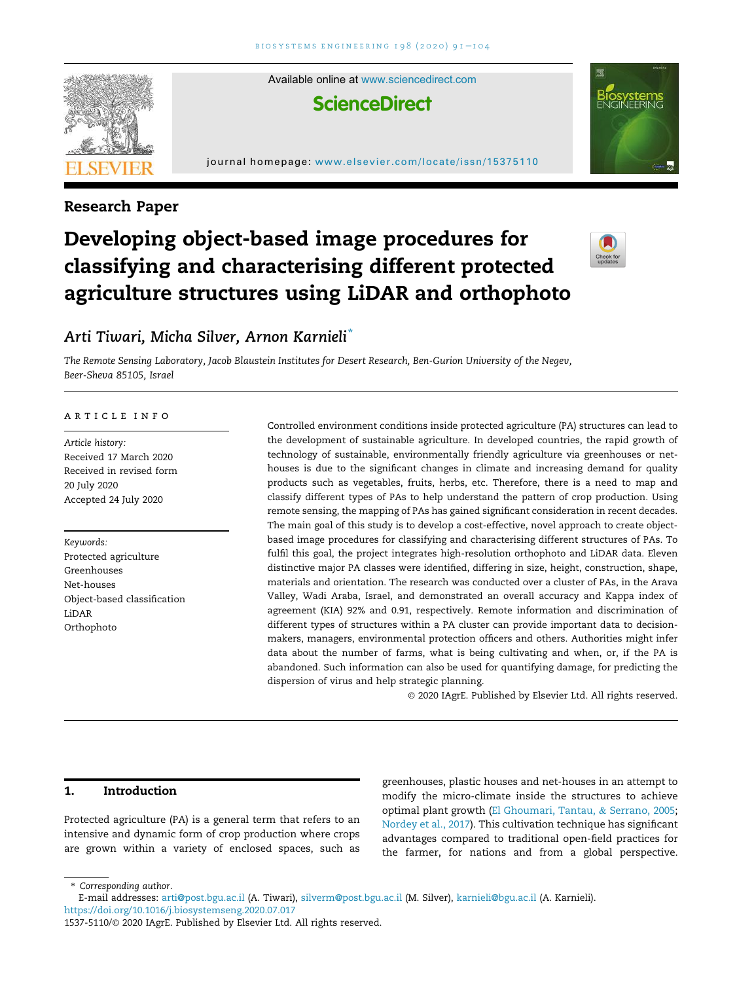

Available online at [www.sciencedirect.com](www.elsevier.com/locate/issn/15375110) **ScienceDirect** 

# journal homepage: <www.elsevier.com/locate/issn/15375110>



# Research Paper

# Developing object-based image procedures for classifying and characterising different protected agriculture structures using LiDAR and orthophoto



# Arti Tiwari, Micha Silver, Arnon Karnieli\*

The Remote Sensing Laboratory, Jacob Blaustein Institutes for Desert Research, Ben-Gurion University of the Negev, Beer-Sheva 85105, Israel

#### article info

Article history: Received 17 March 2020 Received in revised form 20 July 2020 Accepted 24 July 2020

Keywords: Protected agriculture Greenhouses Net-houses Object-based classification LiDAR Orthophoto

Controlled environment conditions inside protected agriculture (PA) structures can lead to the development of sustainable agriculture. In developed countries, the rapid growth of technology of sustainable, environmentally friendly agriculture via greenhouses or nethouses is due to the significant changes in climate and increasing demand for quality products such as vegetables, fruits, herbs, etc. Therefore, there is a need to map and classify different types of PAs to help understand the pattern of crop production. Using remote sensing, the mapping of PAs has gained significant consideration in recent decades. The main goal of this study is to develop a cost-effective, novel approach to create objectbased image procedures for classifying and characterising different structures of PAs. To fulfil this goal, the project integrates high-resolution orthophoto and LiDAR data. Eleven distinctive major PA classes were identified, differing in size, height, construction, shape, materials and orientation. The research was conducted over a cluster of PAs, in the Arava Valley, Wadi Araba, Israel, and demonstrated an overall accuracy and Kappa index of agreement (KIA) 92% and 0.91, respectively. Remote information and discrimination of different types of structures within a PA cluster can provide important data to decisionmakers, managers, environmental protection officers and others. Authorities might infer data about the number of farms, what is being cultivating and when, or, if the PA is abandoned. Such information can also be used for quantifying damage, for predicting the dispersion of virus and help strategic planning.

© 2020 IAgrE. Published by Elsevier Ltd. All rights reserved.

# 1. Introduction

Protected agriculture (PA) is a general term that refers to an intensive and dynamic form of crop production where crops are grown within a variety of enclosed spaces, such as

greenhouses, plastic houses and net-houses in an attempt to modify the micro-climate inside the structures to achieve optimal plant growth ([El Ghoumari, Tantau,](#page-13-0) & [Serrano, 2005;](#page-13-0) [Nordey et al., 2017](#page-13-1)). This cultivation technique has significant advantages compared to traditional open-field practices for the farmer, for nations and from a global perspective.

\* Corresponding author.

E-mail addresses: [arti@post.bgu.ac.il](mailto:arti@post.bgu.ac.il) (A. Tiwari), [silverm@post.bgu.ac.il](mailto:silverm@post.bgu.ac.il) (M. Silver), [karnieli@bgu.ac.il](mailto:karnieli@bgu.ac.il) (A. Karnieli). <https://doi.org/10.1016/j.biosystemseng.2020.07.017>

<sup>1537-5110/</sup>© 2020 IAgrE. Published by Elsevier Ltd. All rights reserved.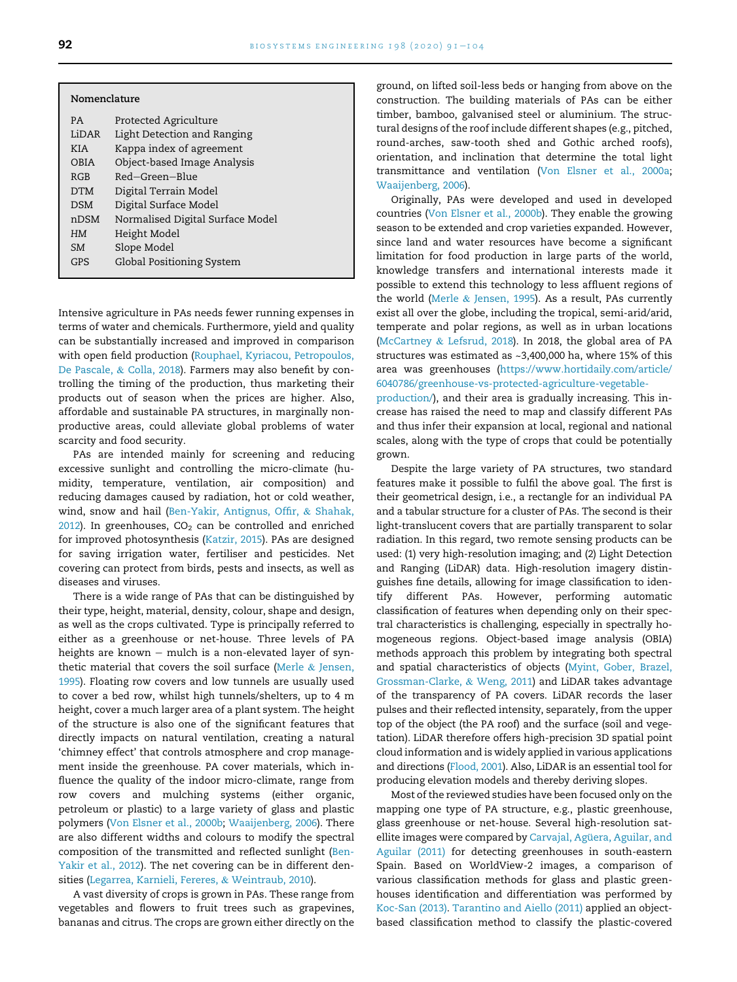| Nomenclature |                                  |
|--------------|----------------------------------|
| PA.          | Protected Agriculture            |
| LiDAR        | Light Detection and Ranging      |
| KI A         | Kappa index of agreement         |
| OBIA         | Object-based Image Analysis      |
| RGB          | $Red-Green-Blue$                 |
| <b>DTM</b>   | Digital Terrain Model            |
| DSM          | Digital Surface Model            |
| nDSM         | Normalised Digital Surface Model |
| HM           | Height Model                     |
| SM           | Slope Model                      |
| GPS          | Global Positioning System        |
|              |                                  |

Intensive agriculture in PAs needs fewer running expenses in terms of water and chemicals. Furthermore, yield and quality can be substantially increased and improved in comparison with open field production [\(Rouphael, Kyriacou, Petropoulos,](#page-13-2) [De Pascale,](#page-13-2) & [Colla, 2018\)](#page-13-2). Farmers may also benefit by controlling the timing of the production, thus marketing their products out of season when the prices are higher. Also, affordable and sustainable PA structures, in marginally nonproductive areas, could alleviate global problems of water scarcity and food security.

PAs are intended mainly for screening and reducing excessive sunlight and controlling the micro-climate (humidity, temperature, ventilation, air composition) and reducing damages caused by radiation, hot or cold weather, wind, snow and hail [\(Ben-Yakir, Antignus, Offir,](#page-12-0) & [Shahak,](#page-12-0) [2012\)](#page-12-0). In greenhouses,  $CO<sub>2</sub>$  can be controlled and enriched for improved photosynthesis [\(Katzir, 2015\)](#page-13-3). PAs are designed for saving irrigation water, fertiliser and pesticides. Net covering can protect from birds, pests and insects, as well as diseases and viruses.

There is a wide range of PAs that can be distinguished by their type, height, material, density, colour, shape and design, as well as the crops cultivated. Type is principally referred to either as a greenhouse or net-house. Three levels of PA heights are known  $-$  mulch is a non-elevated layer of synthetic material that covers the soil surface ([Merle](#page-13-4) & [Jensen,](#page-13-4) [1995\)](#page-13-4). Floating row covers and low tunnels are usually used to cover a bed row, whilst high tunnels/shelters, up to 4 m height, cover a much larger area of a plant system. The height of the structure is also one of the significant features that directly impacts on natural ventilation, creating a natural 'chimney effect' that controls atmosphere and crop management inside the greenhouse. PA cover materials, which influence the quality of the indoor micro-climate, range from row covers and mulching systems (either organic, petroleum or plastic) to a large variety of glass and plastic polymers ([Von Elsner et al., 2000b;](#page-13-5) [Waaijenberg, 2006](#page-13-6)). There are also different widths and colours to modify the spectral composition of the transmitted and reflected sunlight [\(Ben-](#page-12-0)[Yakir et al., 2012\)](#page-12-0). The net covering can be in different densities ([Legarrea, Karnieli, Fereres,](#page-13-7) & [Weintraub, 2010](#page-13-7)).

A vast diversity of crops is grown in PAs. These range from vegetables and flowers to fruit trees such as grapevines, bananas and citrus. The crops are grown either directly on the ground, on lifted soil-less beds or hanging from above on the construction. The building materials of PAs can be either timber, bamboo, galvanised steel or aluminium. The structural designs of the roof include different shapes (e.g., pitched, round-arches, saw-tooth shed and Gothic arched roofs), orientation, and inclination that determine the total light transmittance and ventilation ([Von Elsner et al., 2000a](#page-13-8); [Waaijenberg, 2006\)](#page-13-6).

Originally, PAs were developed and used in developed countries [\(Von Elsner et al., 2000b](#page-13-5)). They enable the growing season to be extended and crop varieties expanded. However, since land and water resources have become a significant limitation for food production in large parts of the world, knowledge transfers and international interests made it possible to extend this technology to less affluent regions of the world ([Merle](#page-13-4) & [Jensen, 1995\)](#page-13-4). As a result, PAs currently exist all over the globe, including the tropical, semi-arid/arid, temperate and polar regions, as well as in urban locations ([McCartney](#page-13-9) & [Lefsrud, 2018\)](#page-13-9). In 2018, the global area of PA structures was estimated as ~3,400,000 ha, where 15% of this area was greenhouses [\(https://www.hortidaily.com/article/](https://www.hortidaily.com/article/6040786/greenhouse-vs-protected-agriculture-vegetable-production/) [6040786/greenhouse-vs-protected-agriculture-vegetable-](https://www.hortidaily.com/article/6040786/greenhouse-vs-protected-agriculture-vegetable-production/)

[production/](https://www.hortidaily.com/article/6040786/greenhouse-vs-protected-agriculture-vegetable-production/)), and their area is gradually increasing. This increase has raised the need to map and classify different PAs and thus infer their expansion at local, regional and national scales, along with the type of crops that could be potentially grown.

Despite the large variety of PA structures, two standard features make it possible to fulfil the above goal. The first is their geometrical design, i.e., a rectangle for an individual PA and a tabular structure for a cluster of PAs. The second is their light-translucent covers that are partially transparent to solar radiation. In this regard, two remote sensing products can be used: (1) very high-resolution imaging; and (2) Light Detection and Ranging (LiDAR) data. High-resolution imagery distinguishes fine details, allowing for image classification to identify different PAs. However, performing automatic classification of features when depending only on their spectral characteristics is challenging, especially in spectrally homogeneous regions. Object-based image analysis (OBIA) methods approach this problem by integrating both spectral and spatial characteristics of objects [\(Myint, Gober, Brazel,](#page-13-10) [Grossman-Clarke,](#page-13-10) & [Weng, 2011](#page-13-10)) and LiDAR takes advantage of the transparency of PA covers. LiDAR records the laser pulses and their reflected intensity, separately, from the upper top of the object (the PA roof) and the surface (soil and vegetation). LiDAR therefore offers high-precision 3D spatial point cloud information and is widely applied in various applications and directions ([Flood, 2001](#page-13-11)). Also, LiDAR is an essential tool for producing elevation models and thereby deriving slopes.

Most of the reviewed studies have been focused only on the mapping one type of PA structure, e.g., plastic greenhouse, glass greenhouse or net-house. Several high-resolution satellite images were compared by Carvajal, Agü[era, Aguilar, and](#page-12-1) [Aguilar \(2011\)](#page-12-1) for detecting greenhouses in south-eastern Spain. Based on WorldView-2 images, a comparison of various classification methods for glass and plastic greenhouses identification and differentiation was performed by [Koc-San \(2013\)](#page-13-12). [Tarantino and Aiello \(2011\)](#page-13-13) applied an objectbased classification method to classify the plastic-covered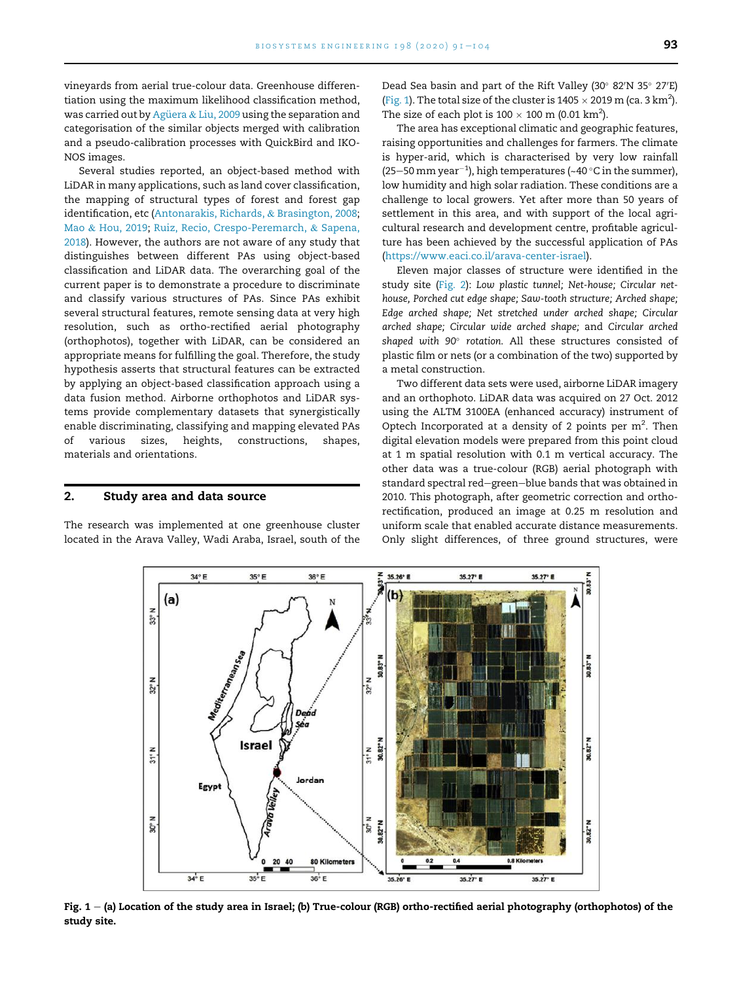vineyards from aerial true-colour data. Greenhouse differentiation using the maximum likelihood classification method, was carried out by Agüera & [Liu, 2009](#page-12-2) using the separation and categorisation of the similar objects merged with calibration and a pseudo-calibration processes with QuickBird and IKO-NOS images.

Several studies reported, an object-based method with LiDAR in many applications, such as land cover classification, the mapping of structural types of forest and forest gap identification, etc ([Antonarakis, Richards,](#page-12-3) & [Brasington, 2008;](#page-12-3) [Mao](#page-13-14) & [Hou, 2019](#page-13-14); [Ruiz, Recio, Crespo-Peremarch,](#page-13-15) & [Sapena,](#page-13-15) [2018\)](#page-13-15). However, the authors are not aware of any study that distinguishes between different PAs using object-based classification and LiDAR data. The overarching goal of the current paper is to demonstrate a procedure to discriminate and classify various structures of PAs. Since PAs exhibit several structural features, remote sensing data at very high resolution, such as ortho-rectified aerial photography (orthophotos), together with LiDAR, can be considered an appropriate means for fulfilling the goal. Therefore, the study hypothesis asserts that structural features can be extracted by applying an object-based classification approach using a data fusion method. Airborne orthophotos and LiDAR systems provide complementary datasets that synergistically enable discriminating, classifying and mapping elevated PAs of various sizes, heights, constructions, shapes, materials and orientations.

#### 2. Study area and data source

<span id="page-2-0"></span>The research was implemented at one greenhouse cluster located in the Arava Valley, Wadi Araba, Israel, south of the Dead Sea basin and part of the Rift Valley (30° 82′N 35° 27′E) [\(Fig. 1\)](#page-2-0). The total size of the cluster is  $1405 \times 2019$  m (ca. 3 km<sup>2</sup>). The size of each plot is  $100 \times 100$  m (0.01 km<sup>2</sup>).

The area has exceptional climatic and geographic features, raising opportunities and challenges for farmers. The climate is hyper-arid, which is characterised by very low rainfall (25–50 mm year $^{-1}$ ), high temperatures (~40 °C in the summer), low humidity and high solar radiation. These conditions are a challenge to local growers. Yet after more than 50 years of settlement in this area, and with support of the local agricultural research and development centre, profitable agriculture has been achieved by the successful application of PAs [\(https://www.eaci.co.il/arava-center-israel\)](https://www.eaci.co.il/arava-center-israel).

Eleven major classes of structure were identified in the study site ([Fig. 2\)](#page-3-0): Low plastic tunnel; Net-house; Circular nethouse, Porched cut edge shape; Saw-tooth structure; Arched shape; Edge arched shape; Net stretched under arched shape; Circular arched shape; Circular wide arched shape; and Circular arched shaped with 90° rotation. All these structures consisted of plastic film or nets (or a combination of the two) supported by a metal construction.

Two different data sets were used, airborne LiDAR imagery and an orthophoto. LiDAR data was acquired on 27 Oct. 2012 using the ALTM 3100EA (enhanced accuracy) instrument of Optech Incorporated at a density of 2 points per  $m^2$ . Then digital elevation models were prepared from this point cloud at 1 m spatial resolution with 0.1 m vertical accuracy. The other data was a true-colour (RGB) aerial photograph with standard spectral red-green-blue bands that was obtained in 2010. This photograph, after geometric correction and orthorectification, produced an image at 0.25 m resolution and uniform scale that enabled accurate distance measurements. Only slight differences, of three ground structures, were



Fig.  $1 - (a)$  Location of the study area in Israel; (b) True-colour (RGB) ortho-rectified aerial photography (orthophotos) of the study site.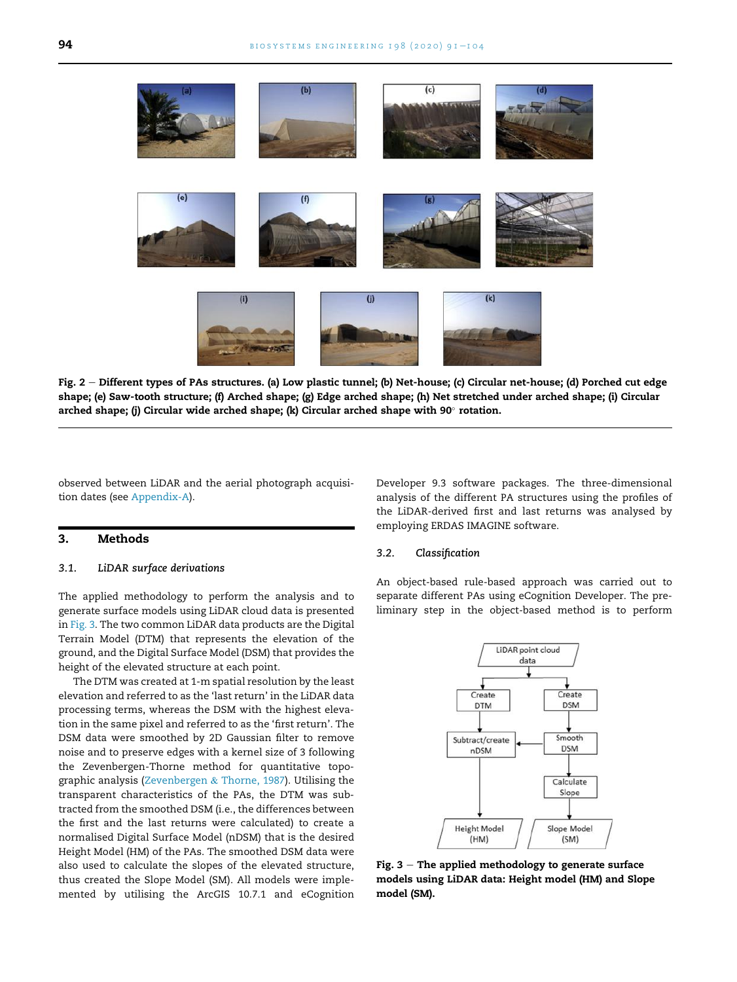<span id="page-3-0"></span>

Fig. 2 - Different types of PAs structures. (a) Low plastic tunnel; (b) Net-house; (c) Circular net-house; (d) Porched cut edge shape; (e) Saw-tooth structure; (f) Arched shape; (g) Edge arched shape; (h) Net stretched under arched shape; (i) Circular arched shape; (j) Circular wide arched shape; (k) Circular arched shape with 90 $^{\circ}$  rotation.

observed between LiDAR and the aerial photograph acquisition dates (see [Appendix-A\)](#page-12-4).

## 3. Methods

# 3.1. LiDAR surface derivations

The applied methodology to perform the analysis and to generate surface models using LiDAR cloud data is presented in [Fig. 3.](#page-3-1) The two common LiDAR data products are the Digital Terrain Model (DTM) that represents the elevation of the ground, and the Digital Surface Model (DSM) that provides the height of the elevated structure at each point.

The DTM was created at 1-m spatial resolution by the least elevation and referred to as the 'last return' in the LiDAR data processing terms, whereas the DSM with the highest elevation in the same pixel and referred to as the 'first return'. The DSM data were smoothed by 2D Gaussian filter to remove noise and to preserve edges with a kernel size of 3 following the Zevenbergen-Thorne method for quantitative topographic analysis ([Zevenbergen](#page-13-16) & [Thorne, 1987](#page-13-16)). Utilising the transparent characteristics of the PAs, the DTM was subtracted from the smoothed DSM (i.e., the differences between the first and the last returns were calculated) to create a normalised Digital Surface Model (nDSM) that is the desired Height Model (HM) of the PAs. The smoothed DSM data were also used to calculate the slopes of the elevated structure, thus created the Slope Model (SM). All models were implemented by utilising the ArcGIS 10.7.1 and eCognition

Developer 9.3 software packages. The three-dimensional analysis of the different PA structures using the profiles of the LiDAR-derived first and last returns was analysed by employing ERDAS IMAGINE software.

#### 3.2. Classification

<span id="page-3-1"></span>An object-based rule-based approach was carried out to separate different PAs using eCognition Developer. The preliminary step in the object-based method is to perform



Fig.  $3$  – The applied methodology to generate surface models using LiDAR data: Height model (HM) and Slope model (SM).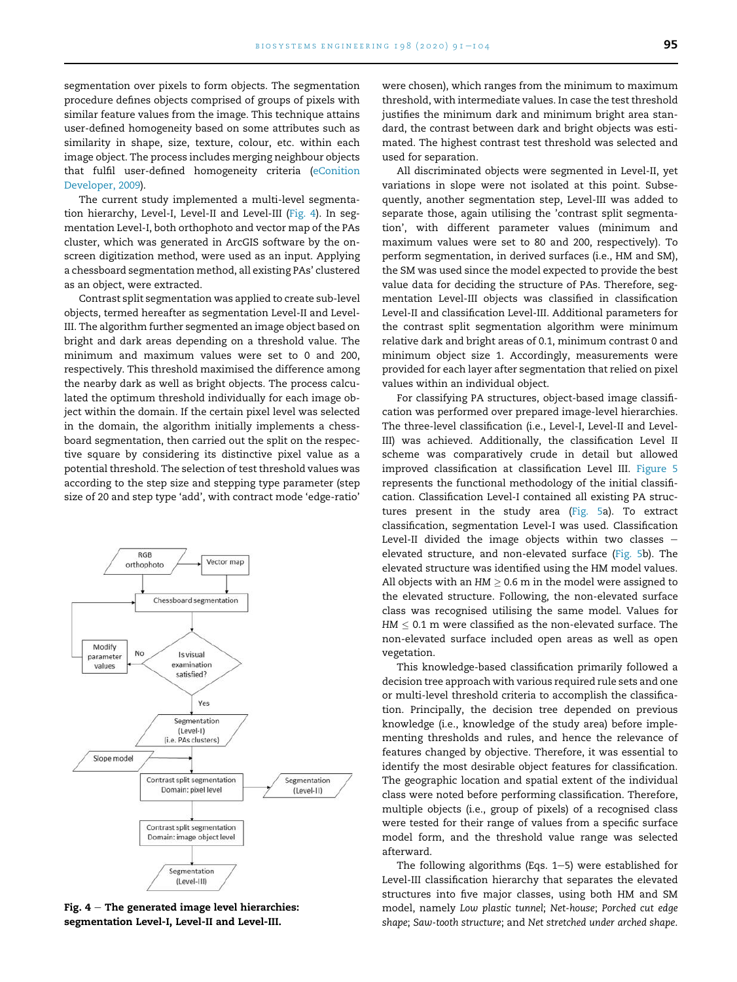segmentation over pixels to form objects. The segmentation procedure defines objects comprised of groups of pixels with similar feature values from the image. This technique attains user-defined homogeneity based on some attributes such as similarity in shape, size, texture, colour, etc. within each image object. The process includes merging neighbour objects that fulfil user-defined homogeneity criteria [\(eConition](#page-13-17) [Developer, 2009](#page-13-17)).

The current study implemented a multi-level segmentation hierarchy, Level-I, Level-II and Level-III ([Fig. 4](#page-4-0)). In segmentation Level-I, both orthophoto and vector map of the PAs cluster, which was generated in ArcGIS software by the onscreen digitization method, were used as an input. Applying a chessboard segmentation method, all existing PAs' clustered as an object, were extracted.

Contrast split segmentation was applied to create sub-level objects, termed hereafter as segmentation Level-II and Level-III. The algorithm further segmented an image object based on bright and dark areas depending on a threshold value. The minimum and maximum values were set to 0 and 200, respectively. This threshold maximised the difference among the nearby dark as well as bright objects. The process calculated the optimum threshold individually for each image object within the domain. If the certain pixel level was selected in the domain, the algorithm initially implements a chessboard segmentation, then carried out the split on the respective square by considering its distinctive pixel value as a potential threshold. The selection of test threshold values was according to the step size and stepping type parameter (step size of 20 and step type 'add', with contract mode 'edge-ratio'

<span id="page-4-0"></span>

Fig.  $4 -$ The generated image level hierarchies: segmentation Level-I, Level-II and Level-III.

were chosen), which ranges from the minimum to maximum threshold, with intermediate values. In case the test threshold justifies the minimum dark and minimum bright area standard, the contrast between dark and bright objects was estimated. The highest contrast test threshold was selected and used for separation.

All discriminated objects were segmented in Level-II, yet variations in slope were not isolated at this point. Subsequently, another segmentation step, Level-III was added to separate those, again utilising the 'contrast split segmentation', with different parameter values (minimum and maximum values were set to 80 and 200, respectively). To perform segmentation, in derived surfaces (i.e., HM and SM), the SM was used since the model expected to provide the best value data for deciding the structure of PAs. Therefore, segmentation Level-III objects was classified in classification Level-II and classification Level-III. Additional parameters for the contrast split segmentation algorithm were minimum relative dark and bright areas of 0.1, minimum contrast 0 and minimum object size 1. Accordingly, measurements were provided for each layer after segmentation that relied on pixel values within an individual object.

For classifying PA structures, object-based image classification was performed over prepared image-level hierarchies. The three-level classification (i.e., Level-I, Level-II and Level-III) was achieved. Additionally, the classification Level II scheme was comparatively crude in detail but allowed improved classification at classification Level III. [Figure 5](#page-6-0) represents the functional methodology of the initial classification. Classification Level-I contained all existing PA structures present in the study area [\(Fig. 5](#page-6-0)a). To extract classification, segmentation Level-I was used. Classification Level-II divided the image objects within two classes  $$ elevated structure, and non-elevated surface [\(Fig. 5](#page-6-0)b). The elevated structure was identified using the HM model values. All objects with an  $HM > 0.6$  m in the model were assigned to the elevated structure. Following, the non-elevated surface class was recognised utilising the same model. Values for  $HM \leq 0.1$  m were classified as the non-elevated surface. The non-elevated surface included open areas as well as open vegetation.

This knowledge-based classification primarily followed a decision tree approach with various required rule sets and one or multi-level threshold criteria to accomplish the classification. Principally, the decision tree depended on previous knowledge (i.e., knowledge of the study area) before implementing thresholds and rules, and hence the relevance of features changed by objective. Therefore, it was essential to identify the most desirable object features for classification. The geographic location and spatial extent of the individual class were noted before performing classification. Therefore, multiple objects (i.e., group of pixels) of a recognised class were tested for their range of values from a specific surface model form, and the threshold value range was selected afterward.

The following algorithms (Eqs.  $1-5$ ) were established for Level-III classification hierarchy that separates the elevated structures into five major classes, using both HM and SM model, namely Low plastic tunnel; Net-house; Porched cut edge shape; Saw-tooth structure; and Net stretched under arched shape.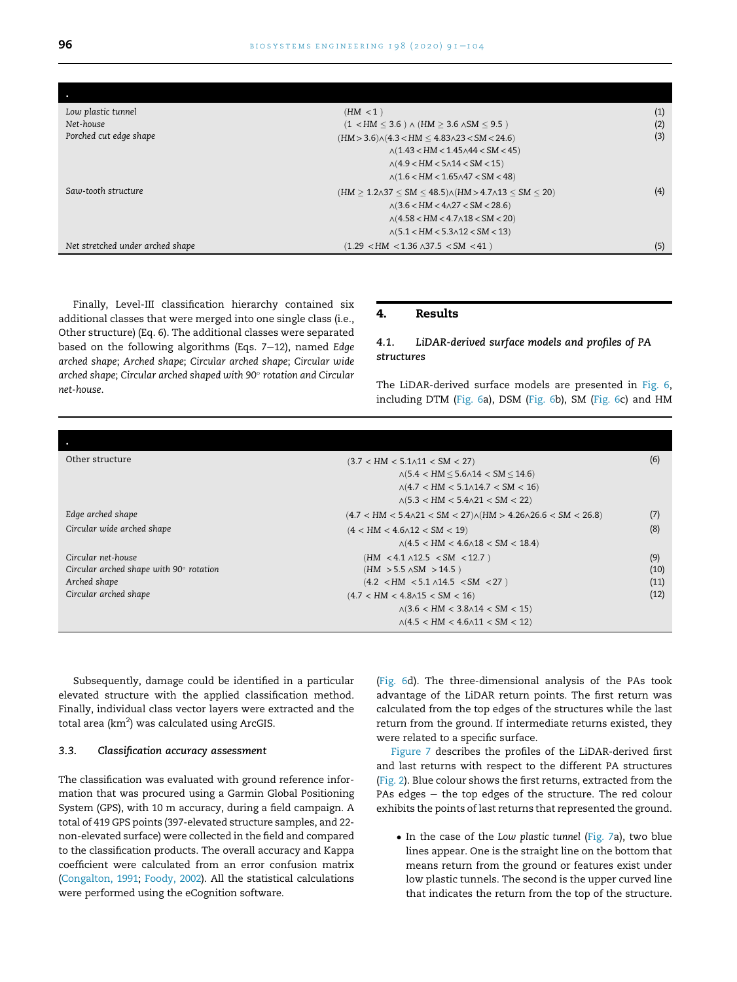| Low plastic tunnel               | (HM < 1)                                                                             | (1) |
|----------------------------------|--------------------------------------------------------------------------------------|-----|
| Net-house                        | $(1 \lt HM \leq 3.6) \wedge (HM \geq 3.6 \wedge SM \leq 9.5)$                        | (2) |
| Porched cut edge shape           | $(HM > 3.6) \land (4.3 < HM \leq 4.83 \land 23 < SM < 24.6)$                         | (3) |
|                                  | $\wedge$ (1.43 < HM < 1.45 $\wedge$ 44 < SM < 45)                                    |     |
|                                  | $\wedge$ (4.9 < HM < 5 $\wedge$ 14 < SM < 15)                                        |     |
|                                  | $\wedge (1.6 < HM < 1.65 \wedge 47 < SM < 48)$                                       |     |
| Saw-tooth structure              | $(HM \geq 1.2 \land 37 \leq SM \leq 48.5) \land (HM > 4.7 \land 13 \leq SM \leq 20)$ | (4) |
|                                  | $\wedge$ (3.6 < HM < 4 $\wedge$ 27 < SM < 28.6)                                      |     |
|                                  | $\land$ (4.58 < HM < 4.7 $\land$ 18 < SM < 20)                                       |     |
|                                  | $\wedge (5.1 < HM < 5.3 \wedge 12 < SM < 13)$                                        |     |
| Net stretched under arched shape | $(1.29 \prec HM \prec 1.36 \land 37.5 \prec SM \prec 41)$                            | (5) |

Finally, Level-III classification hierarchy contained six additional classes that were merged into one single class (i.e., Other structure) (Eq. 6). The additional classes were separated based on the following algorithms (Eqs.  $7-12$ ), named Edge arched shape; Arched shape; Circular arched shape; Circular wide arched shape; Circular arched shaped with 90° rotation and Circular net-house.

#### 4. Results

# 4.1. LiDAR-derived surface models and profiles of PA structures

The LiDAR-derived surface models are presented in [Fig. 6](#page-7-0), including DTM [\(Fig. 6a](#page-7-0)), DSM ([Fig. 6b](#page-7-0)), SM ([Fig. 6](#page-7-0)c) and HM

| Other structure                                | $(3.7 < HM < 5.1 \land 11 < SM < 27)$                                          |      |  |  |  |
|------------------------------------------------|--------------------------------------------------------------------------------|------|--|--|--|
|                                                | $\land$ (5.4 < HM $\leq$ 5.6 $\land$ 14 < SM $\leq$ 14.6)                      |      |  |  |  |
|                                                | $\land$ (4.7 < HM < 5.1 $\land$ 14.7 < SM < 16)                                |      |  |  |  |
|                                                | $\land$ (5.3 < HM < 5.4 $\land$ 21 < SM < 22)                                  |      |  |  |  |
| Edge arched shape                              | $(4.7 < HM < 5.4 \land 21 < SM < 27) \land (HM > 4.26 \land 26.6 < SM < 26.8)$ | (7)  |  |  |  |
| Circular wide arched shape                     | $(4 < HM < 4.6 \land 12 < SM < 19)$                                            | (8)  |  |  |  |
|                                                | $\land$ (4.5 < HM < 4.6 $\land$ 18 < SM < 18.4)                                |      |  |  |  |
| Circular net-house                             | $(HM < 4.1 \land 12.5 < SM < 12.7)$                                            | (9)  |  |  |  |
| Circular arched shape with $90^\circ$ rotation | $(HM > 5.5 \land SM > 14.5)$                                                   | (10) |  |  |  |
| Arched shape                                   | $(4.2 \lt HM \lt 5.1 \wedge 14.5 \lt SM \lt 27)$                               | (11) |  |  |  |
| Circular arched shape                          | $(4.7 < HM < 4.8 \land 15 < SM < 16)$                                          | (12) |  |  |  |
|                                                | $\land$ (3.6 < HM < 3.8 $\land$ 14 < SM < 15)                                  |      |  |  |  |
|                                                | $\land$ (4.5 < HM < 4.6 $\land$ 11 < SM < 12)                                  |      |  |  |  |

Subsequently, damage could be identified in a particular elevated structure with the applied classification method. Finally, individual class vector layers were extracted and the total area ( $km<sup>2</sup>$ ) was calculated using ArcGIS.

#### 3.3. Classification accuracy assessment

The classification was evaluated with ground reference information that was procured using a Garmin Global Positioning System (GPS), with 10 m accuracy, during a field campaign. A total of 419 GPS points (397-elevated structure samples, and 22 non-elevated surface) were collected in the field and compared to the classification products. The overall accuracy and Kappa coefficient were calculated from an error confusion matrix ([Congalton, 1991;](#page-13-18) [Foody, 2002\)](#page-13-19). All the statistical calculations were performed using the eCognition software.

([Fig. 6](#page-7-0)d). The three-dimensional analysis of the PAs took advantage of the LiDAR return points. The first return was calculated from the top edges of the structures while the last return from the ground. If intermediate returns existed, they were related to a specific surface.

[Figure 7](#page-8-0) describes the profiles of the LiDAR-derived first and last returns with respect to the different PA structures ([Fig. 2\)](#page-3-0). Blue colour shows the first returns, extracted from the PAs edges  $-$  the top edges of the structure. The red colour exhibits the points of last returns that represented the ground.

• In the case of the Low plastic tunnel [\(Fig. 7](#page-8-0)a), two blue lines appear. One is the straight line on the bottom that means return from the ground or features exist under low plastic tunnels. The second is the upper curved line that indicates the return from the top of the structure.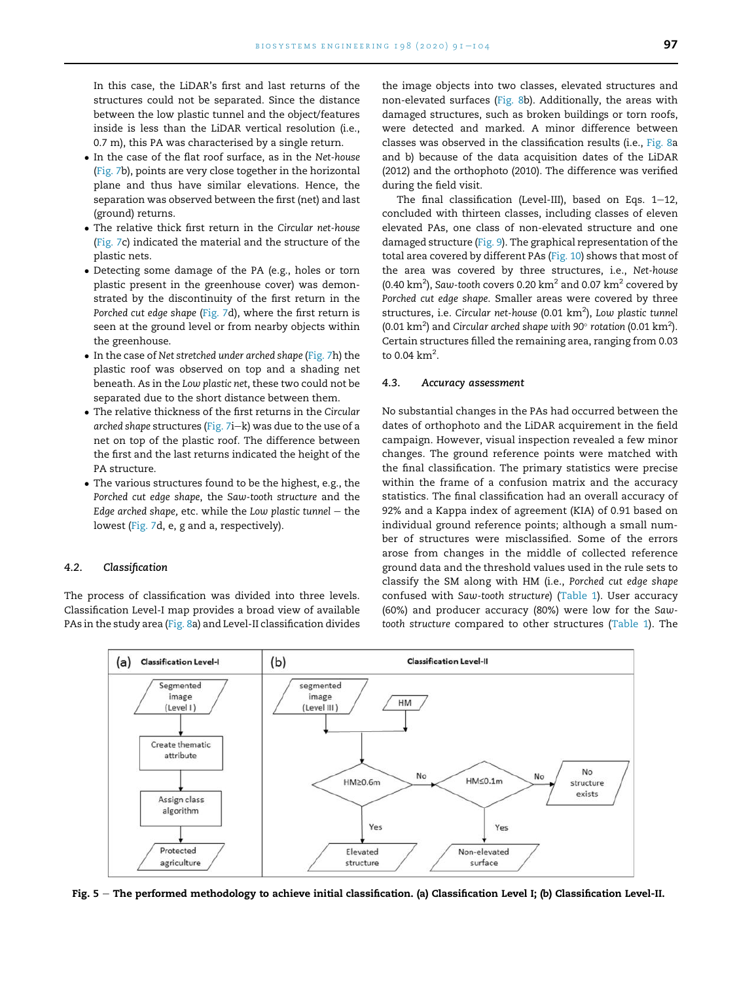In this case, the LiDAR's first and last returns of the structures could not be separated. Since the distance between the low plastic tunnel and the object/features inside is less than the LiDAR vertical resolution (i.e., 0.7 m), this PA was characterised by a single return.

- In the case of the flat roof surface, as in the Net-house [\(Fig. 7](#page-8-0)b), points are very close together in the horizontal plane and thus have similar elevations. Hence, the separation was observed between the first (net) and last (ground) returns.
- The relative thick first return in the Circular net-house [\(Fig. 7c](#page-8-0)) indicated the material and the structure of the plastic nets.
- Detecting some damage of the PA (e.g., holes or torn plastic present in the greenhouse cover) was demonstrated by the discontinuity of the first return in the Porched cut edge shape ([Fig. 7](#page-8-0)d), where the first return is seen at the ground level or from nearby objects within the greenhouse.
- In the case of Net stretched under arched shape [\(Fig. 7h](#page-8-0)) the plastic roof was observed on top and a shading net beneath. As in the Low plastic net, these two could not be separated due to the short distance between them.
- The relative thickness of the first returns in the Circular arched shape structures [\(Fig. 7i](#page-8-0)-k) was due to the use of a net on top of the plastic roof. The difference between the first and the last returns indicated the height of the PA structure.
- The various structures found to be the highest, e.g., the Porched cut edge shape, the Saw-tooth structure and the Edge arched shape, etc. while the Low plastic tunnel  $-$  the lowest [\(Fig. 7](#page-8-0)d, e, g and a, respectively).

#### 4.2. Classification

<span id="page-6-0"></span>The process of classification was divided into three levels. Classification Level-I map provides a broad view of available PAs in the study area ([Fig. 8](#page-8-1)a) and Level-II classification divides the image objects into two classes, elevated structures and non-elevated surfaces [\(Fig. 8](#page-8-1)b). Additionally, the areas with damaged structures, such as broken buildings or torn roofs, were detected and marked. A minor difference between classes was observed in the classification results (i.e., [Fig. 8](#page-8-1)a and b) because of the data acquisition dates of the LiDAR (2012) and the orthophoto (2010). The difference was verified during the field visit.

The final classification (Level-III), based on Eqs.  $1-12$ , concluded with thirteen classes, including classes of eleven elevated PAs, one class of non-elevated structure and one damaged structure [\(Fig. 9\)](#page-9-0). The graphical representation of the total area covered by different PAs ([Fig. 10\)](#page-9-1) shows that most of the area was covered by three structures, i.e., Net-house (0.40 km<sup>2</sup>), Saw-tooth covers 0.20 km<sup>2</sup> and 0.07 km<sup>2</sup> covered by Porched cut edge shape. Smaller areas were covered by three structures, i.e. Circular net-house (0.01 km<sup>2</sup>), Low plastic tunnel (0.01 km<sup>2</sup>) and Circular arched shape with 90 $^{\circ}$  rotation (0.01 km<sup>2</sup>). Certain structures filled the remaining area, ranging from 0.03 to 0.04  $\text{km}^2$ .

#### 4.3. Accuracy assessment

No substantial changes in the PAs had occurred between the dates of orthophoto and the LiDAR acquirement in the field campaign. However, visual inspection revealed a few minor changes. The ground reference points were matched with the final classification. The primary statistics were precise within the frame of a confusion matrix and the accuracy statistics. The final classification had an overall accuracy of 92% and a Kappa index of agreement (KIA) of 0.91 based on individual ground reference points; although a small number of structures were misclassified. Some of the errors arose from changes in the middle of collected reference ground data and the threshold values used in the rule sets to classify the SM along with HM (i.e., Porched cut edge shape confused with Saw-tooth structure) ([Table 1\)](#page-10-0). User accuracy (60%) and producer accuracy (80%) were low for the Sawtooth structure compared to other structures [\(Table 1](#page-10-0)). The



Fig. 5 - The performed methodology to achieve initial classification. (a) Classification Level I; (b) Classification Level-II.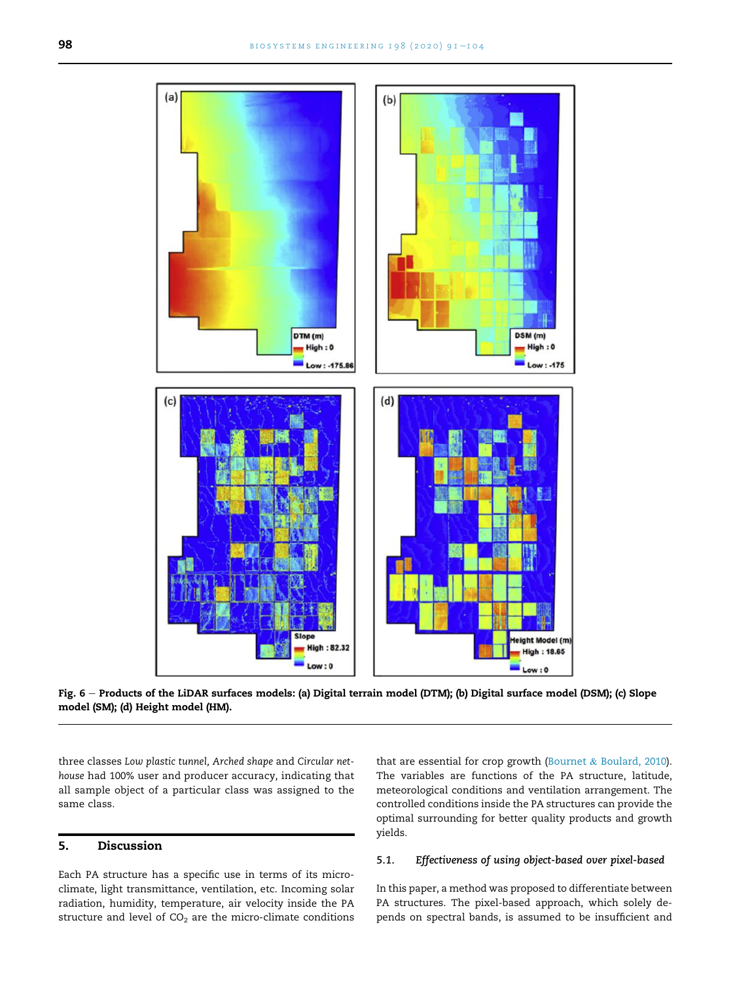<span id="page-7-0"></span>

Fig. 6 - Products of the LiDAR surfaces models: (a) Digital terrain model (DTM); (b) Digital surface model (DSM); (c) Slope model (SM); (d) Height model (HM).

three classes Low plastic tunnel, Arched shape and Circular nethouse had 100% user and producer accuracy, indicating that all sample object of a particular class was assigned to the same class.

# 5. Discussion

Each PA structure has a specific use in terms of its microclimate, light transmittance, ventilation, etc. Incoming solar radiation, humidity, temperature, air velocity inside the PA structure and level of  $CO<sub>2</sub>$  are the micro-climate conditions that are essential for crop growth ([Bournet](#page-12-5) & [Boulard, 2010\)](#page-12-5). The variables are functions of the PA structure, latitude, meteorological conditions and ventilation arrangement. The controlled conditions inside the PA structures can provide the optimal surrounding for better quality products and growth yields.

#### 5.1. Effectiveness of using object-based over pixel-based

In this paper, a method was proposed to differentiate between PA structures. The pixel-based approach, which solely depends on spectral bands, is assumed to be insufficient and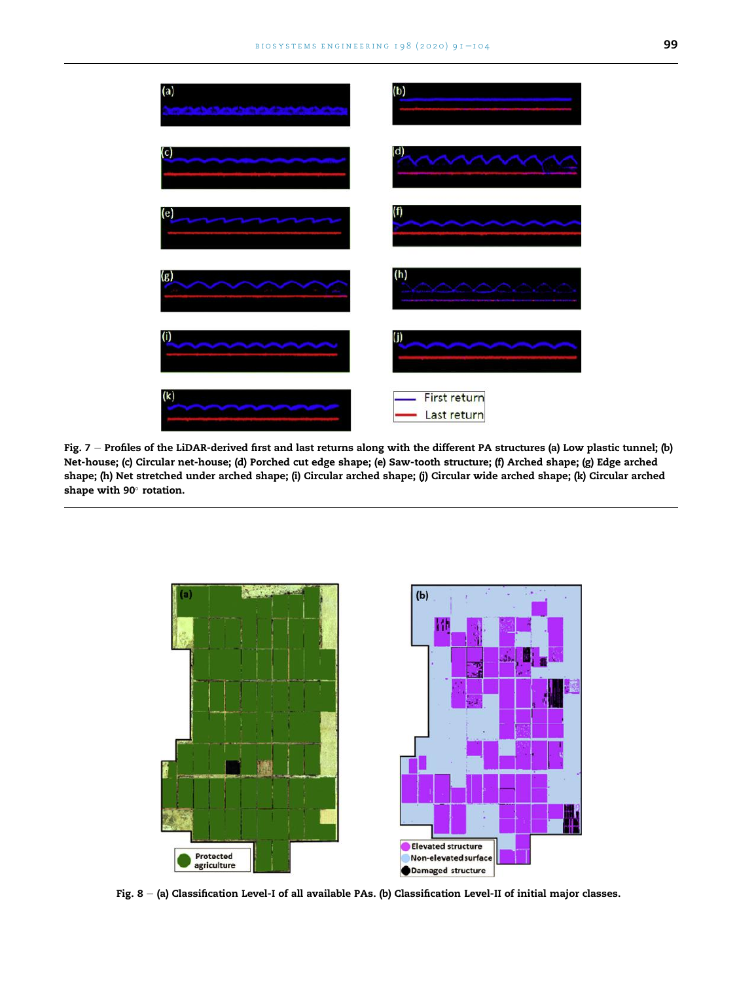<span id="page-8-0"></span>

Fig. 7 - Profiles of the LiDAR-derived first and last returns along with the different PA structures (a) Low plastic tunnel; (b) Net-house; (c) Circular net-house; (d) Porched cut edge shape; (e) Saw-tooth structure; (f) Arched shape; (g) Edge arched shape; (h) Net stretched under arched shape; (i) Circular arched shape; (j) Circular wide arched shape; (k) Circular arched shape with 90° rotation.

<span id="page-8-1"></span>

Fig. 8 - (a) Classification Level-I of all available PAs. (b) Classification Level-II of initial major classes.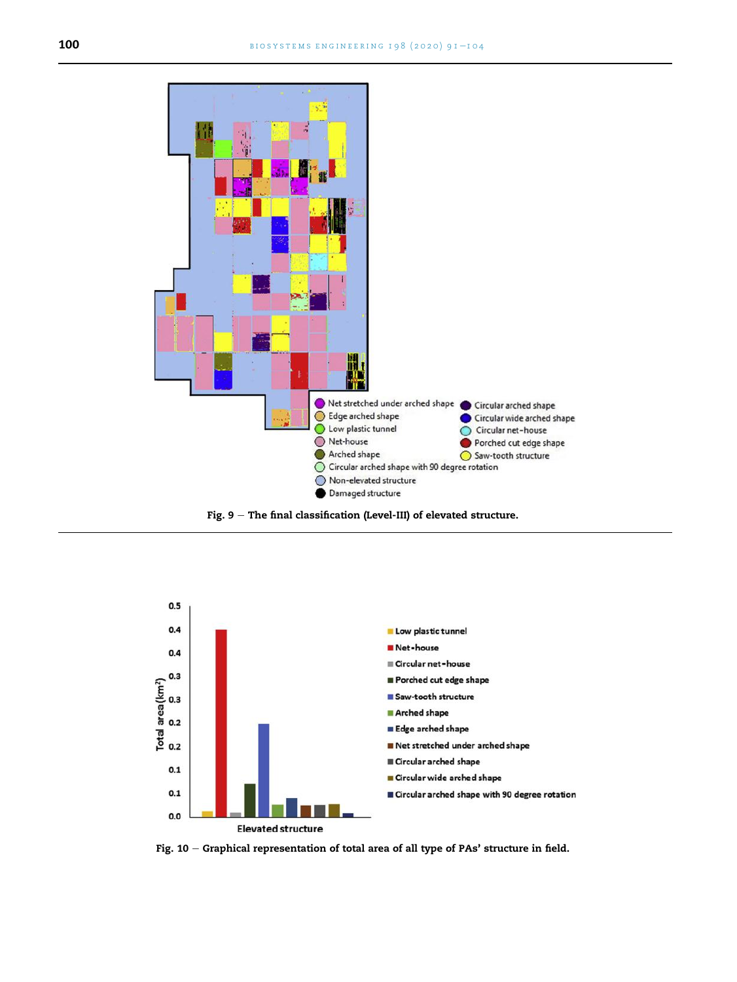<span id="page-9-0"></span>

Fig. 9 – The final classification (Level-III) of elevated structure.

<span id="page-9-1"></span>

Fig. 10 – Graphical representation of total area of all type of PAs' structure in field.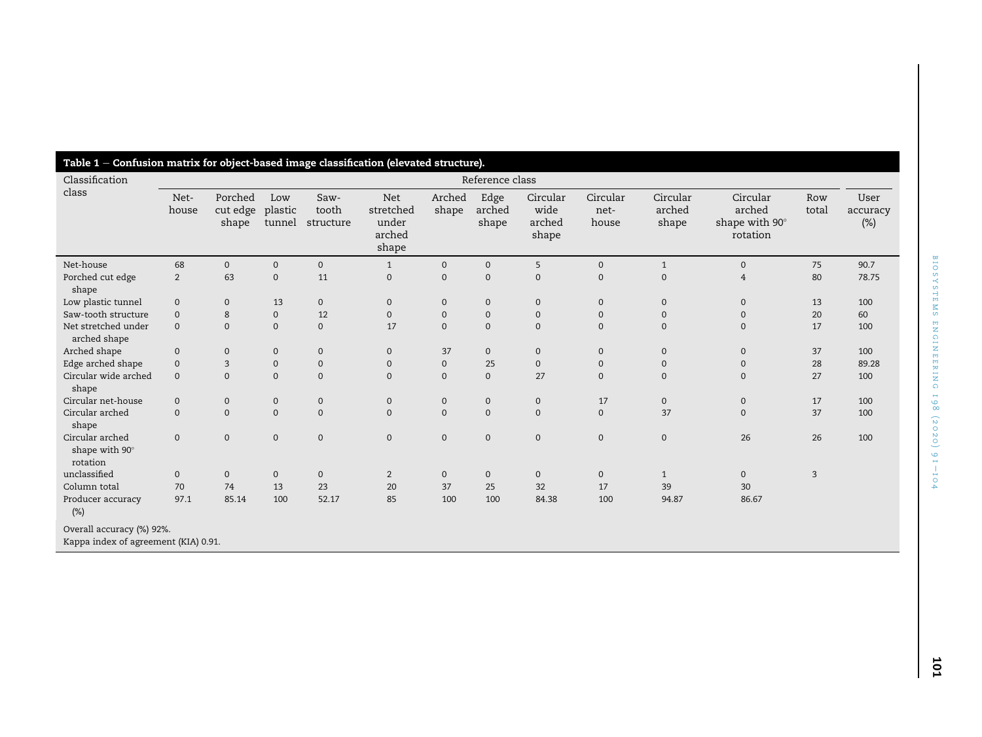<span id="page-10-0"></span>

| Classification<br>class                       | Reference class |                              |                          |                            |                                                     |                     |                         |                                     |                           |                             |                                                  |                |                            |
|-----------------------------------------------|-----------------|------------------------------|--------------------------|----------------------------|-----------------------------------------------------|---------------------|-------------------------|-------------------------------------|---------------------------|-----------------------------|--------------------------------------------------|----------------|----------------------------|
|                                               | Net-<br>house   | Porched<br>cut edge<br>shape | Low<br>plastic<br>tunnel | Saw-<br>tooth<br>structure | <b>Net</b><br>stretched<br>under<br>arched<br>shape | Arched<br>shape     | Edge<br>arched<br>shape | Circular<br>wide<br>arched<br>shape | Circular<br>net-<br>house | Circular<br>arched<br>shape | Circular<br>arched<br>shape with 90°<br>rotation | Row<br>total   | User<br>accuracy<br>$(\%)$ |
| Net-house                                     | 68              | $\mathbf{0}$                 | $\mathbf{0}$             | $\mathbf{0}$               | $\mathbf{1}$                                        | $\mathbf 0$         | $\mathbf{0}$            | 5                                   | $\mathbf 0$               | $\mathbf{1}$                | $\mathbf{0}$                                     | 75             | 90.7                       |
| Porched cut edge<br>shape                     | 2               | 63                           | $\mathbf{0}$             | 11                         | $\mathbf 0$                                         | $\mathbf 0$         | $\mathbf{0}$            | $\mathbf{0}$                        | $\mathbf{0}$              | $\overline{0}$              | $\overline{4}$                                   | 80             | 78.75                      |
| Low plastic tunnel                            | $\mathbf 0$     | $\mathbf{0}$                 | 13                       | $\mathbf{0}$               | $\mathbf{0}$                                        | $\mathbf 0$         | $\mathbf{0}$            | $\mathbf{0}$                        | $\mathbf 0$               | $\mathbf{0}$                | $\mathbf{0}$                                     | 13             | 100                        |
| Saw-tooth structure                           | $\mathbf 0$     | 8                            | $\mathbf{0}$             | 12                         | $\mathbf{0}$                                        | $\mathbf 0$         | $\mathbf 0$             | $\mathbf 0$                         | $\mathbf 0$               | $\mathbf{0}$                | $\mathbf{0}$                                     | 20             | 60                         |
| Net stretched under<br>arched shape           | $\mathbf{0}$    | $\mathbf{0}$                 | $\mathbf{0}$             | $\mathbf{0}$               | 17                                                  | $\mathbf 0$         | $\mathbf{0}$            | $\mathbf{0}$                        | $\mathbf{0}$              | $\mathbf{0}$                | $\mathbf{0}$                                     | 17             | 100                        |
| Arched shape                                  | $\mathbf 0$     | $\mathbf 0$                  | $\mathbf 0$              | $\mathbf 0$                | $\mathbf 0$                                         | 37                  | $\mathbf 0$             | $\mathbf 0$                         | $\mathbf 0$               | $\mathbf 0$                 | $\mathbf 0$                                      | 37             | 100                        |
| Edge arched shape                             | $\mathbf 0$     | 3                            | $\mathbf 0$              | $\mathbf 0$                | $\mathbf 0$                                         | $\mathbf 0$         | 25                      | $\mathbf 0$                         | $\mathbf 0$               | 0                           | $\mathbf{0}$                                     | 28             | 89.28                      |
| Circular wide arched<br>shape                 | $\mathbf{0}$    | $\mathbf{0}$                 | $\mathbf{0}$             | $\mathbf{0}$               | $\mathbf{0}$                                        | $\mathbf 0$         | $\mathbf 0$             | 27                                  | $\mathbf 0$               | 0                           | $\mathbf{0}$                                     | 27             | 100                        |
| Circular net-house                            | $\mathbf 0$     | $\mathbf 0$                  | $\mathbf 0$              | $\mathbf 0$                | $\mathbf 0$                                         | $\mathbf 0$         | $\mathbf 0$             | $\mathbf 0$                         | 17                        | 0                           | $\mathbf 0$                                      | 17             | 100                        |
| Circular arched<br>shape                      | $\mathbf{0}$    | $\mathbf{0}$                 | $\mathbf{0}$             | $\mathbf{0}$               | $\mathbf{0}$                                        | $\mathbf{0}$        | $\mathbf{0}$            | $\mathbf{0}$                        | $\mathbf{0}$              | 37                          | $\mathbf{0}$                                     | 37             | 100                        |
| Circular arched<br>shape with 90°<br>rotation | $\mathbf 0$     | $\mathbf 0$                  | $\mathbf 0$              | $\mathbf 0$                | $\mathbf 0$                                         | $\mathsf{O}\xspace$ | $\mathbf 0$             | $\mathbf 0$                         | $\mathbf 0$               | $\mathbf 0$                 | 26                                               | 26             | 100                        |
| unclassified                                  | $\mathbf 0$     | $\mathbf{0}$                 | $\mathbf 0$              | $\mathbf 0$                | $\overline{2}$                                      | $\mathbf 0$         | $\mathbf 0$             | $\mathbf 0$                         | $\mathbf 0$               | $\mathbf{1}$                | $\mathbf{0}$                                     | $\overline{3}$ |                            |
| Column total                                  | 70              | 74                           | 13                       | 23                         | 20                                                  | 37                  | 25                      | 32                                  | 17                        | 39                          | 30                                               |                |                            |
| Producer accuracy<br>(%)                      | 97.1            | 85.14                        | 100                      | 52.17                      | 85                                                  | 100                 | 100                     | 84.38                               | 100                       | 94.87                       | 86.67                                            |                |                            |

Kappa index of agreemen<sup>t</sup> (KIA) 0.91.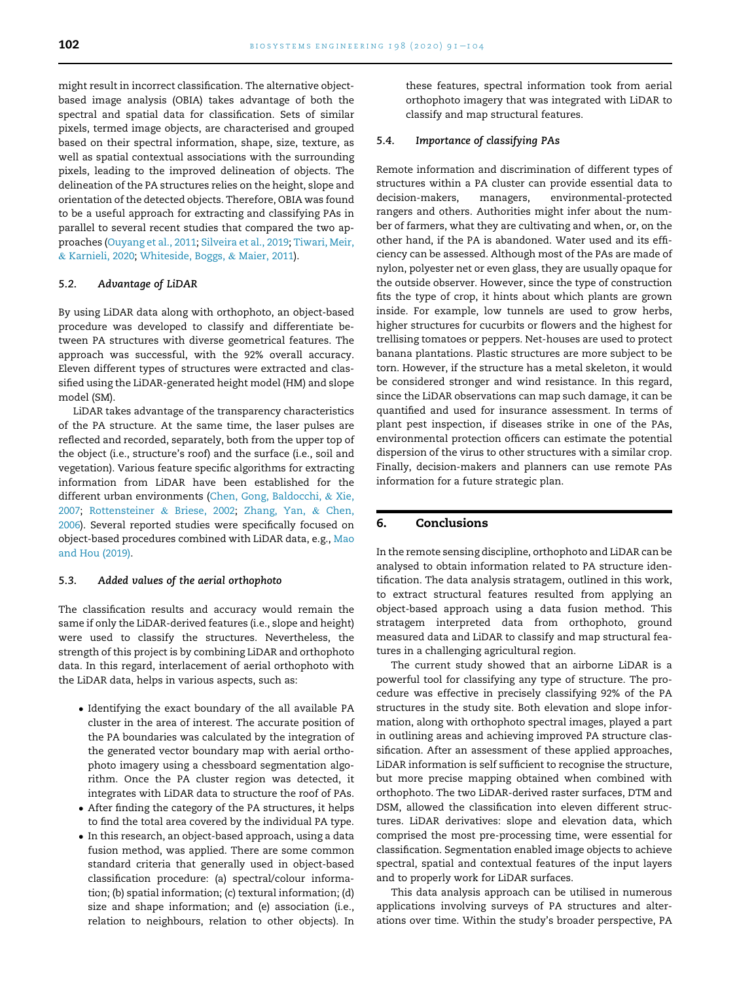might result in incorrect classification. The alternative objectbased image analysis (OBIA) takes advantage of both the spectral and spatial data for classification. Sets of similar pixels, termed image objects, are characterised and grouped based on their spectral information, shape, size, texture, as well as spatial contextual associations with the surrounding pixels, leading to the improved delineation of objects. The delineation of the PA structures relies on the height, slope and orientation of the detected objects. Therefore, OBIA was found to be a useful approach for extracting and classifying PAs in parallel to several recent studies that compared the two approaches ([Ouyang et al., 2011;](#page-13-20) [Silveira et al., 2019](#page-13-21); [Tiwari, Meir,](#page-13-22) & [Karnieli, 2020;](#page-13-22) [Whiteside, Boggs,](#page-13-23) & [Maier, 2011](#page-13-23)).

#### 5.2. Advantage of LiDAR

By using LiDAR data along with orthophoto, an object-based procedure was developed to classify and differentiate between PA structures with diverse geometrical features. The approach was successful, with the 92% overall accuracy. Eleven different types of structures were extracted and classified using the LiDAR-generated height model (HM) and slope model (SM).

LiDAR takes advantage of the transparency characteristics of the PA structure. At the same time, the laser pulses are reflected and recorded, separately, both from the upper top of the object (i.e., structure's roof) and the surface (i.e., soil and vegetation). Various feature specific algorithms for extracting information from LiDAR have been established for the different urban environments ([Chen, Gong, Baldocchi,](#page-13-24) & [Xie,](#page-13-24) [2007;](#page-13-24) [Rottensteiner](#page-13-25) & [Briese, 2002;](#page-13-25) [Zhang, Yan,](#page-13-26) & [Chen,](#page-13-26) [2006\)](#page-13-26). Several reported studies were specifically focused on object-based procedures combined with LiDAR data, e.g., [Mao](#page-13-14) [and Hou \(2019\)](#page-13-14).

#### 5.3. Added values of the aerial orthophoto

The classification results and accuracy would remain the same if only the LiDAR-derived features (i.e., slope and height) were used to classify the structures. Nevertheless, the strength of this project is by combining LiDAR and orthophoto data. In this regard, interlacement of aerial orthophoto with the LiDAR data, helps in various aspects, such as:

- Identifying the exact boundary of the all available PA cluster in the area of interest. The accurate position of the PA boundaries was calculated by the integration of the generated vector boundary map with aerial orthophoto imagery using a chessboard segmentation algorithm. Once the PA cluster region was detected, it integrates with LiDAR data to structure the roof of PAs.
- After finding the category of the PA structures, it helps to find the total area covered by the individual PA type.
- In this research, an object-based approach, using a data fusion method, was applied. There are some common standard criteria that generally used in object-based classification procedure: (a) spectral/colour information; (b) spatial information; (c) textural information; (d) size and shape information; and (e) association (i.e., relation to neighbours, relation to other objects). In

these features, spectral information took from aerial orthophoto imagery that was integrated with LiDAR to classify and map structural features.

#### 5.4. Importance of classifying PAs

Remote information and discrimination of different types of structures within a PA cluster can provide essential data to decision-makers, managers, environmental-protected rangers and others. Authorities might infer about the number of farmers, what they are cultivating and when, or, on the other hand, if the PA is abandoned. Water used and its efficiency can be assessed. Although most of the PAs are made of nylon, polyester net or even glass, they are usually opaque for the outside observer. However, since the type of construction fits the type of crop, it hints about which plants are grown inside. For example, low tunnels are used to grow herbs, higher structures for cucurbits or flowers and the highest for trellising tomatoes or peppers. Net-houses are used to protect banana plantations. Plastic structures are more subject to be torn. However, if the structure has a metal skeleton, it would be considered stronger and wind resistance. In this regard, since the LiDAR observations can map such damage, it can be quantified and used for insurance assessment. In terms of plant pest inspection, if diseases strike in one of the PAs, environmental protection officers can estimate the potential dispersion of the virus to other structures with a similar crop. Finally, decision-makers and planners can use remote PAs information for a future strategic plan.

# 6. Conclusions

In the remote sensing discipline, orthophoto and LiDAR can be analysed to obtain information related to PA structure identification. The data analysis stratagem, outlined in this work, to extract structural features resulted from applying an object-based approach using a data fusion method. This stratagem interpreted data from orthophoto, ground measured data and LiDAR to classify and map structural features in a challenging agricultural region.

The current study showed that an airborne LiDAR is a powerful tool for classifying any type of structure. The procedure was effective in precisely classifying 92% of the PA structures in the study site. Both elevation and slope information, along with orthophoto spectral images, played a part in outlining areas and achieving improved PA structure classification. After an assessment of these applied approaches, LiDAR information is self sufficient to recognise the structure, but more precise mapping obtained when combined with orthophoto. The two LiDAR-derived raster surfaces, DTM and DSM, allowed the classification into eleven different structures. LiDAR derivatives: slope and elevation data, which comprised the most pre-processing time, were essential for classification. Segmentation enabled image objects to achieve spectral, spatial and contextual features of the input layers and to properly work for LiDAR surfaces.

This data analysis approach can be utilised in numerous applications involving surveys of PA structures and alterations over time. Within the study's broader perspective, PA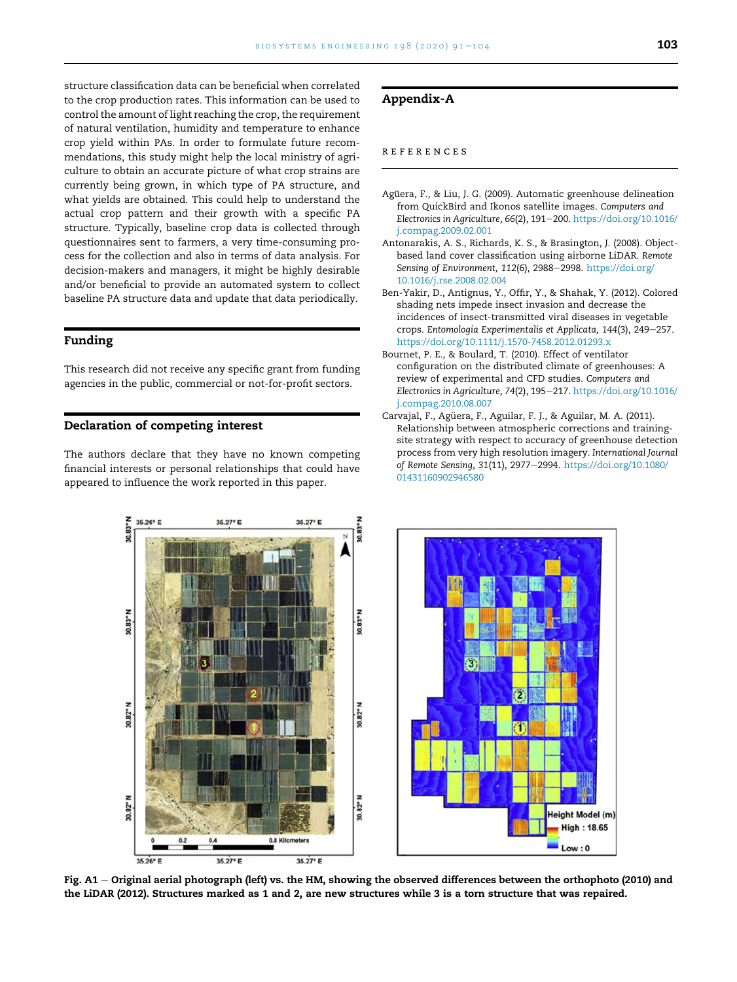structure classification data can be beneficial when correlated to the crop production rates. This information can be used to control the amount of light reaching the crop, the requirement of natural ventilation, humidity and temperature to enhance crop yield within PAs. In order to formulate future recommendations, this study might help the local ministry of agriculture to obtain an accurate picture of what crop strains are currently being grown, in which type of PA structure, and what yields are obtained. This could help to understand the actual crop pattern and their growth with a specific PA structure. Typically, baseline crop data is collected through questionnaires sent to farmers, a very time-consuming process for the collection and also in terms of data analysis. For decision-makers and managers, it might be highly desirable and/or beneficial to provide an automated system to collect baseline PA structure data and update that data periodically.

#### Funding

This research did not receive any specific grant from funding agencies in the public, commercial or not-for-profit sectors.

#### Declaration of competing interest

35 26° E

30.83°

The authors declare that they have no known competing financial interests or personal relationships that could have appeared to influence the work reported in this paper.

35.27° E

35.27° E

# <span id="page-12-4"></span>Appendix-A

## references

- <span id="page-12-2"></span>Agüera, F., & Liu, J. G. (2009). Automatic greenhouse delineation from QuickBird and Ikonos satellite images. Computers and Electronics in Agriculture, 66(2), 191-200. [https://doi.org/10.1016/](https://doi.org/10.1016/j.compag.2009.02.001) [j.compag.2009.02.001](https://doi.org/10.1016/j.compag.2009.02.001)
- <span id="page-12-3"></span>Antonarakis, A. S., Richards, K. S., & Brasington, J. (2008). Objectbased land cover classification using airborne LiDAR. Remote Sensing of Environment, 112(6), 2988-2998. [https://doi.org/](https://doi.org/10.1016/j.rse.2008.02.004) [10.1016/j.rse.2008.02.004](https://doi.org/10.1016/j.rse.2008.02.004)
- <span id="page-12-0"></span>Ben-Yakir, D., Antignus, Y., Offir, Y., & Shahak, Y. (2012). Colored shading nets impede insect invasion and decrease the incidences of insect-transmitted viral diseases in vegetable crops. Entomologia Experimentalis et Applicata, 144(3), 249-257. <https://doi.org/10.1111/j.1570-7458.2012.01293.x>
- <span id="page-12-5"></span>Bournet, P. E., & Boulard, T. (2010). Effect of ventilator configuration on the distributed climate of greenhouses: A review of experimental and CFD studies. Computers and Electronics in Agriculture, 74(2), 195-217. [https://doi.org/10.1016/](https://doi.org/10.1016/j.compag.2010.08.007) [j.compag.2010.08.007](https://doi.org/10.1016/j.compag.2010.08.007)
- <span id="page-12-1"></span>Carvajal, F., Agüera, F., Aguilar, F. J., & Aguilar, M. A. (2011). Relationship between atmospheric corrections and trainingsite strategy with respect to accuracy of greenhouse detection process from very high resolution imagery. International Journal of Remote Sensing, 31(11), 2977-2994. [https://doi.org/10.1080/](https://doi.org/10.1080/01431160902946580) [01431160902946580](https://doi.org/10.1080/01431160902946580)

**Neta** B 90.83 12 30.82°N z 30.82°N 30.82° leight Model (m) **High: 18.65** 0.8 Kilometers  $0.2$  $Low: 0$  $35.27^{\circ} E$ 35.27° E 35.26° E

**10.83°** 

Fig. A1 – Original aerial photograph (left) vs. the HM, showing the observed differences between the orthophoto (2010) and the LiDAR (2012). Structures marked as 1 and 2, are new structures while 3 is a torn structure that was repaired.